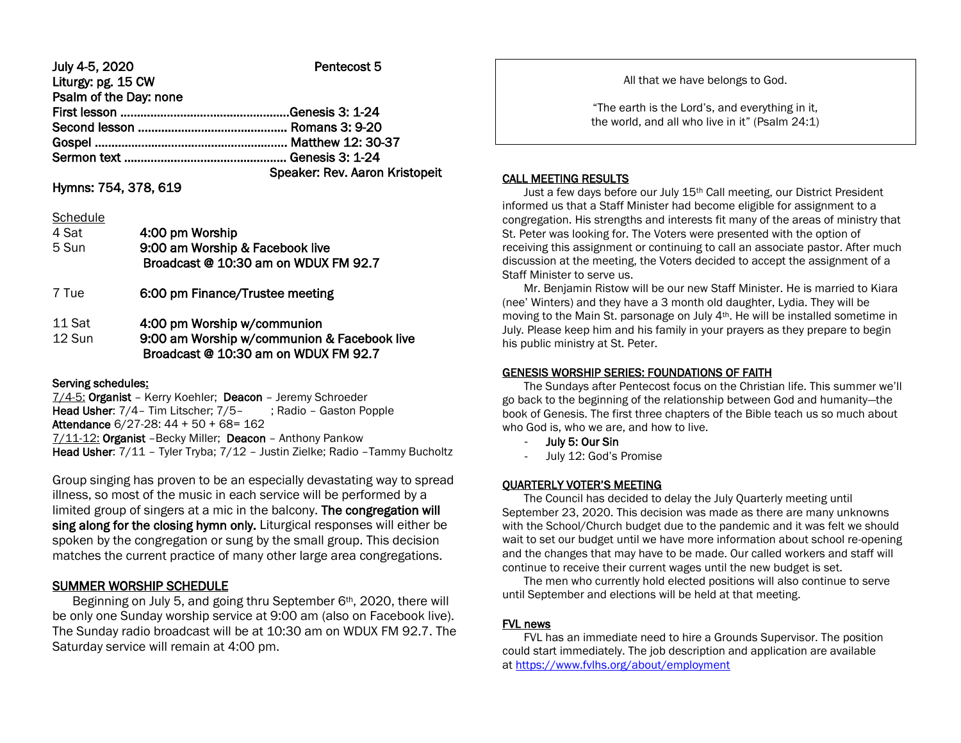#### July 4-5, 2020 Pentecost 5 Liturgy: pg. 15 CW Psalm of the Day: none

| . |                                |
|---|--------------------------------|
|   |                                |
|   |                                |
|   |                                |
|   |                                |
|   | Speaker: Rev. Aaron Kristopeit |

## Hymns: 754, 378, 619

#### **Schedule**

| 4 Sat<br>5 Sun   | 4:00 pm Worship<br>9:00 am Worship & Facebook live<br>Broadcast @ 10:30 am on WDUX FM 92.7                         |  |
|------------------|--------------------------------------------------------------------------------------------------------------------|--|
| 7 Tue            | 6:00 pm Finance/Trustee meeting                                                                                    |  |
| 11 Sat<br>12 Sun | 4:00 pm Worship w/communion<br>9:00 am Worship w/communion & Facebook live<br>Broadcast @ 10:30 am on WDUX FM 92.7 |  |

## Serving schedules:

7/4-5: Organist – Kerry Koehler; Deacon – Jeremy Schroeder Head Usher: 7/4 – Tim Litscher: 7/5 – ; Radio – Gaston Popple Attendance 6/27-28: 44 + 50 + 68= 162 7/11-12: Organist –Becky Miller; Deacon – Anthony Pankow Head Usher: 7/11 - Tyler Tryba; 7/12 - Justin Zielke; Radio - Tammy Bucholtz

Group singing has proven to be an especially devastating way to spread illness, so most of the music in each service will be performed by a limited group of singers at a mic in the balcony. The congregation will sing along for the closing hymn only. Liturgical responses will either be spoken by the congregation or sung by the small group. This decision matches the current practice of many other large area congregations.

# SUMMER WORSHIP SCHEDULE

Beginning on July 5, and going thru September 6<sup>th</sup>, 2020, there will be only one Sunday worship service at 9:00 am (also on Facebook live). The Sunday radio broadcast will be at 10:30 am on WDUX FM 92.7. The Saturday service will remain at 4:00 pm.

All that we have belongs to God.

"The earth is the Lord's, and everything in it, the world, and all who live in it" (Psalm 24:1)

#### CALL MEETING RESULTS

I

Just a few days before our July 15<sup>th</sup> Call meeting, our District President informed us that a Staff Minister had become eligible for assignment to a congregation. His strengths and interests fit many of the areas of ministry that St. Peter was looking for. The Voters were presented with the option of receiving this assignment or continuing to call an associate pastor. After much discussion at the meeting, the Voters decided to accept the assignment of a Staff Minister to serve us.

 Mr. Benjamin Ristow will be our new Staff Minister. He is married to Kiara (nee' Winters) and they have a 3 month old daughter, Lydia. They will be moving to the Main St. parsonage on July 4th. He will be installed sometime in July. Please keep him and his family in your prayers as they prepare to begin his public ministry at St. Peter.

## GENESIS WORSHIP SERIES: FOUNDATIONS OF FAITH

 The Sundays after Pentecost focus on the Christian life. This summer we'll go back to the beginning of the relationship between God and humanity—the book of Genesis. The first three chapters of the Bible teach us so much about who God is, who we are, and how to live.

- July 5: Our Sin
- July 12: God's Promise

## QUARTERLY VOTER'S MEETING

 The Council has decided to delay the July Quarterly meeting until September 23, 2020. This decision was made as there are many unknowns with the School/Church budget due to the pandemic and it was felt we should wait to set our budget until we have more information about school re-opening and the changes that may have to be made. Our called workers and staff will continue to receive their current wages until the new budget is set.

 The men who currently hold elected positions will also continue to serve until September and elections will be held at that meeting.

## FVL news

 FVL has an immediate need to hire a Grounds Supervisor. The position could start immediately. The job description and application are available at [https://www.fvlhs.org/about/employment](https://linkprotect.cudasvc.com/url?a=https%3a%2f%2fwww.fvlhs.org%2fabout%2femployment&c=E,1,TBPhYeOKuK-sOhh7747WSQxEMZYfaZv1XC-6J2UZnLG0_OZavBiP1q86IWUUrELoEEVdnVdAfuruqE8uEhqW_t6H6UEkjtx6TCgOl6O16EfV1L-s-LSEQVw17G0,&typo=1)